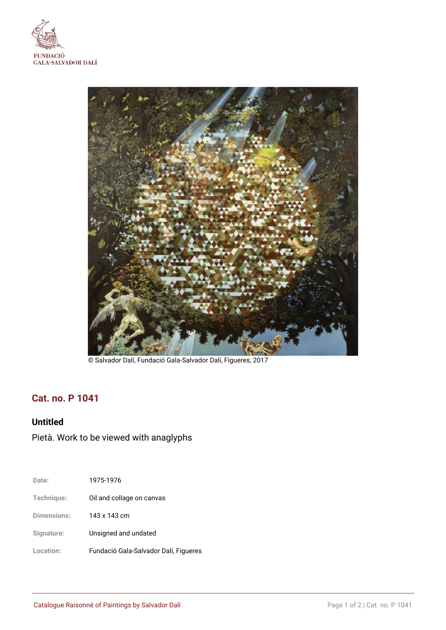



© Salvador Dalí, Fundació Gala-Salvador Dalí, Figueres, 2017

## **Cat. no. P 1041**

## **Untitled**

# Pietà. Work to be viewed with anaglyphs

| Date:              | 1975-1976                             |
|--------------------|---------------------------------------|
| Technique:         | Oil and collage on canvas             |
| <b>Dimensions:</b> | 143 x 143 cm                          |
| Signature:         | Unsigned and undated                  |
| Location:          | Fundació Gala-Salvador Dalí, Figueres |